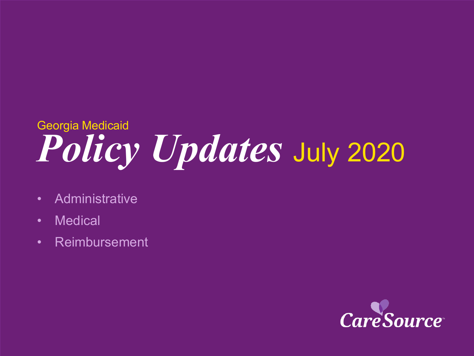# *Policy Updates* July <sup>2020</sup> Georgia Medicaid

- Administrative
- Medical
- Reimbursement

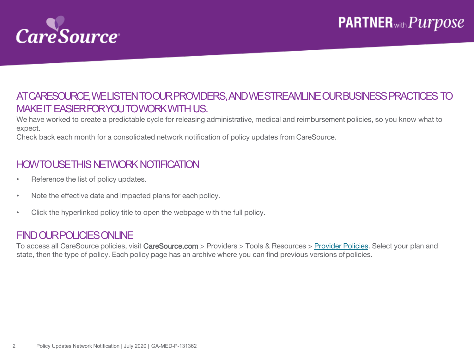

#### AT CARESOURCE, WE LISTEN TO OUR PROVIDERS, AND WE STREAMLINE OUR BUSINESS PRACTICES TO MAKE IT EASIER FOR YOU TO WORK WITH US.

We have worked to create a predictable cycle for releasing administrative, medical and reimbursement policies, so you know what to expect.

Check back each month for a consolidated network notification of policy updates from CareSource.

### HOW TO USE THIS NETWORK NOTIFICATION

- Reference the list of policy updates.
- Note the effective date and impacted plans for each policy.
- Click the hyperlinked policy title to open the webpage with the full policy.

#### FIND OUR POLICIESONLINE

To access all CareSource policies, visit CareSource.com > Providers > Tools & Resources > [Provider Policies](https://www.caresource.com/providers/tools-resources/health-partner-policies/). Select your plan and state, then the type of policy. Each policy page has an archive where you can find previous versions of policies.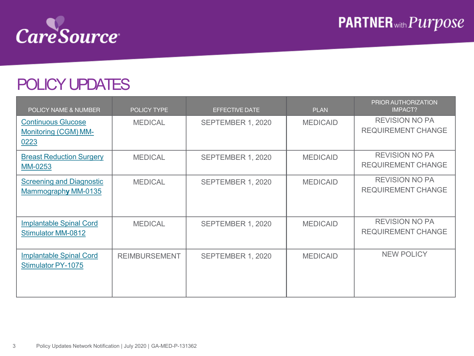

### POLICY UPDATES

| POLICY NAME & NUMBER                                        | <b>POLICY TYPE</b>   | <b>EFFECTIVE DATE</b> | <b>PLAN</b>     | PRIOR AUTHORIZATION<br><b>IMPACT?</b>              |
|-------------------------------------------------------------|----------------------|-----------------------|-----------------|----------------------------------------------------|
| <b>Continuous Glucose</b><br>Monitoring (CGM) MM-<br>0223   | <b>MEDICAL</b>       | SEPTEMBER 1, 2020     | <b>MEDICAID</b> | <b>REVISION NO PA</b><br><b>REQUIREMENT CHANGE</b> |
| <b>Breast Reduction Surgery</b><br>MM-0253                  | <b>MEDICAL</b>       | SEPTEMBER 1, 2020     | <b>MEDICAID</b> | <b>REVISION NO PA</b><br><b>REQUIREMENT CHANGE</b> |
| <b>Screening and Diagnostic</b><br>Mammography MM-0135      | <b>MEDICAL</b>       | SEPTEMBER 1, 2020     | <b>MEDICAID</b> | <b>REVISION NO PA</b><br><b>REQUIREMENT CHANGE</b> |
| <b>Implantable Spinal Cord</b><br><b>Stimulator MM-0812</b> | <b>MEDICAL</b>       | SEPTEMBER 1, 2020     | <b>MEDICAID</b> | <b>REVISION NO PA</b><br><b>REQUIREMENT CHANGE</b> |
| <b>Implantable Spinal Cord</b><br><b>Stimulator PY-1075</b> | <b>REIMBURSEMENT</b> | SEPTEMBER 1, 2020     | <b>MEDICAID</b> | NEW POLICY                                         |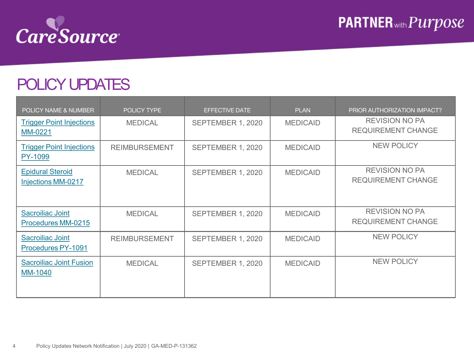

## POLICY UPDATES

| POLICY NAME & NUMBER                          | <b>POLICY TYPE</b>   | <b>EFFECTIVE DATE</b> | <b>PLAN</b>     | PRIOR AUTHORIZATION IMPACT?                        |
|-----------------------------------------------|----------------------|-----------------------|-----------------|----------------------------------------------------|
| <b>Trigger Point Injections</b><br>MM-0221    | <b>MEDICAL</b>       | SEPTEMBER 1, 2020     | <b>MEDICAID</b> | <b>REVISION NO PA</b><br><b>REQUIREMENT CHANGE</b> |
| <b>Trigger Point Injections</b><br>PY-1099    | <b>REIMBURSEMENT</b> | SEPTEMBER 1, 2020     | <b>MEDICAID</b> | <b>NEW POLICY</b>                                  |
| <b>Epidural Steroid</b><br>Injections MM-0217 | <b>MEDICAL</b>       | SEPTEMBER 1, 2020     | <b>MEDICAID</b> | <b>REVISION NO PA</b><br><b>REQUIREMENT CHANGE</b> |
| <b>Sacroiliac Joint</b><br>Procedures MM-0215 | <b>MEDICAL</b>       | SEPTEMBER 1, 2020     | <b>MEDICAID</b> | <b>REVISION NO PA</b><br><b>REQUIREMENT CHANGE</b> |
| Sacroiliac Joint<br>Procedures PY-1091        | <b>REIMBURSEMENT</b> | SEPTEMBER 1, 2020     | <b>MEDICAID</b> | <b>NEW POLICY</b>                                  |
| <b>Sacrolliac Joint Fusion</b><br>MM-1040     | <b>MEDICAL</b>       | SEPTEMBER 1, 2020     | <b>MEDICAID</b> | <b>NEW POLICY</b>                                  |